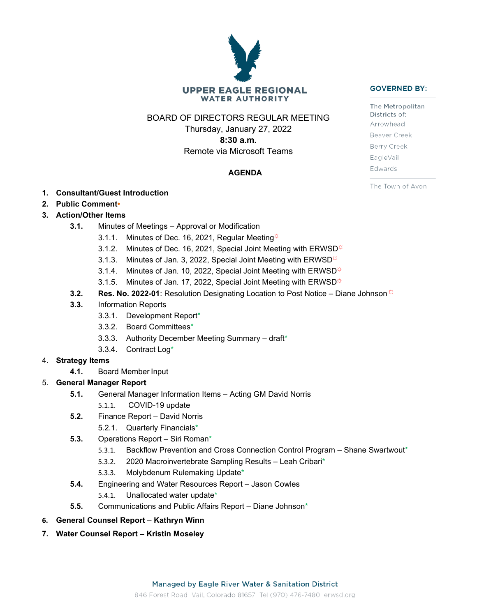# **UPPER EAGLE REGIONAL WATER AUTHORITY**

BOARD OF DIRECTORS REGULAR MEETING

Thursday, January 27, 2022 **8:30 a.m.** Remote via Microsoft Teams

## **AGENDA**

- **1. Consultant/Guest Introduction**
- **2. Public Comment•**

## **3. Action/Other Items**

- **3.1.** Minutes of Meetings Approval or Modification
	- 3.1.1. Minutes of Dec. 16, 2021, Regular Meeting $\ddot{\varphi}$
	- 3.1.2. Minutes of Dec. 16, 2021, Special Joint Meeting with ERWSD $\ddot{\varphi}$
	- 3.1.3. Minutes of Jan. 3, 2022, Special Joint Meeting with ERWSD<sup> $\ddot{\alpha}$ </sup>
	- 3.1.4. Minutes of Jan. 10, 2022, Special Joint Meeting with ERWSD $*$
	- 3.1.5. Minutes of Jan. 17, 2022, Special Joint Meeting with ERWSD $\ddot{\varphi}$
- **3.2. <b>Res. No. 2022-01**: Resolution Designating Location to Post Notice Diane Johnson  $\ddot{\circ}$
- **3.3.** Information Reports
	- 3.3.1. Development Report\*
	- 3.3.2. Board Committees\*
	- 3.3.3. Authority December Meeting Summary draft\*
	- 3.3.4. Contract Log\*

#### 4. **Strategy Items**

**4.1.** Board Member Input

## 5. **General Manager Report**

- **5.1.** General Manager Information Items Acting GM David Norris
	- 5.1.1. COVID-19 update
- **5.2.** Finance Report David Norris
	- 5.2.1. Quarterly Financials\*
- **5.3.** Operations Report Siri Roman\*
	- 5.3.1. Backflow Prevention and Cross Connection Control Program Shane Swartwout\*
	- 5.3.2. 2020 Macroinvertebrate Sampling Results Leah Cribari\*
	- 5.3.3. Molybdenum Rulemaking Update\*
- **5.4.** Engineering and Water Resources Report Jason Cowles
	- 5.4.1. Unallocated water update\*
- **5.5.** Communications and Public Affairs Report Diane Johnson\*
- **6. General Counsel Report** *–* **Kathryn Winn**
- **7. Water Counsel Report – Kristin Moseley**

The Metropolitan Districts of: Arrowhead Beaver Creek Berry Creek EagleVail Edwards

The Town of Avon